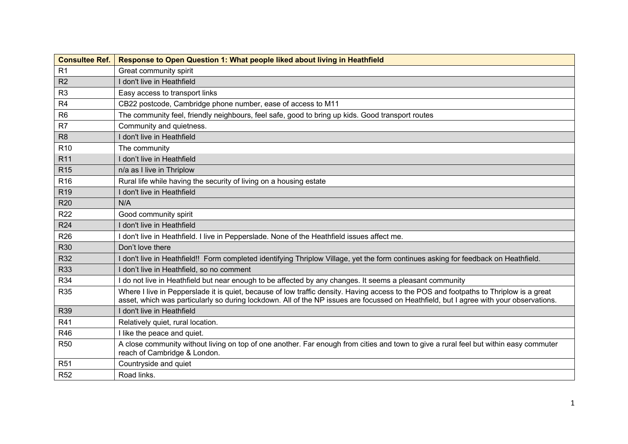| <b>Consultee Ref.</b> | Response to Open Question 1: What people liked about living in Heathfield                                                                                                                                                                                                        |
|-----------------------|----------------------------------------------------------------------------------------------------------------------------------------------------------------------------------------------------------------------------------------------------------------------------------|
| R <sub>1</sub>        | Great community spirit                                                                                                                                                                                                                                                           |
| R <sub>2</sub>        | I don't live in Heathfield                                                                                                                                                                                                                                                       |
| R <sub>3</sub>        | Easy access to transport links                                                                                                                                                                                                                                                   |
| R <sub>4</sub>        | CB22 postcode, Cambridge phone number, ease of access to M11                                                                                                                                                                                                                     |
| R <sub>6</sub>        | The community feel, friendly neighbours, feel safe, good to bring up kids. Good transport routes                                                                                                                                                                                 |
| R <sub>7</sub>        | Community and quietness.                                                                                                                                                                                                                                                         |
| R <sub>8</sub>        | I don't live in Heathfield                                                                                                                                                                                                                                                       |
| R <sub>10</sub>       | The community                                                                                                                                                                                                                                                                    |
| R <sub>11</sub>       | I don't live in Heathfield                                                                                                                                                                                                                                                       |
| R <sub>15</sub>       | n/a as I live in Thriplow                                                                                                                                                                                                                                                        |
| R <sub>16</sub>       | Rural life while having the security of living on a housing estate                                                                                                                                                                                                               |
| R <sub>19</sub>       | I don't live in Heathfield                                                                                                                                                                                                                                                       |
| R <sub>20</sub>       | N/A                                                                                                                                                                                                                                                                              |
| R <sub>22</sub>       | Good community spirit                                                                                                                                                                                                                                                            |
| <b>R24</b>            | I don't live in Heathfield                                                                                                                                                                                                                                                       |
| R <sub>26</sub>       | I don't live in Heathfield. I live in Pepperslade. None of the Heathfield issues affect me.                                                                                                                                                                                      |
| <b>R30</b>            | Don't love there                                                                                                                                                                                                                                                                 |
| <b>R32</b>            | I don't live in Heathfield!! Form completed identifying Thriplow Village, yet the form continues asking for feedback on Heathfield.                                                                                                                                              |
| <b>R33</b>            | I don't live in Heathfield, so no comment                                                                                                                                                                                                                                        |
| R34                   | I do not live in Heathfield but near enough to be affected by any changes. It seems a pleasant community                                                                                                                                                                         |
| <b>R35</b>            | Where I live in Pepperslade it is quiet, because of low traffic density. Having access to the POS and footpaths to Thriplow is a great<br>asset, which was particularly so during lockdown. All of the NP issues are focussed on Heathfield, but I agree with your observations. |
| R39                   | I don't live in Heathfield                                                                                                                                                                                                                                                       |
| R41                   | Relatively quiet, rural location.                                                                                                                                                                                                                                                |
| R46                   | I like the peace and quiet.                                                                                                                                                                                                                                                      |
| <b>R50</b>            | A close community without living on top of one another. Far enough from cities and town to give a rural feel but within easy commuter<br>reach of Cambridge & London.                                                                                                            |
| R <sub>51</sub>       | Countryside and quiet                                                                                                                                                                                                                                                            |
| <b>R52</b>            | Road links.                                                                                                                                                                                                                                                                      |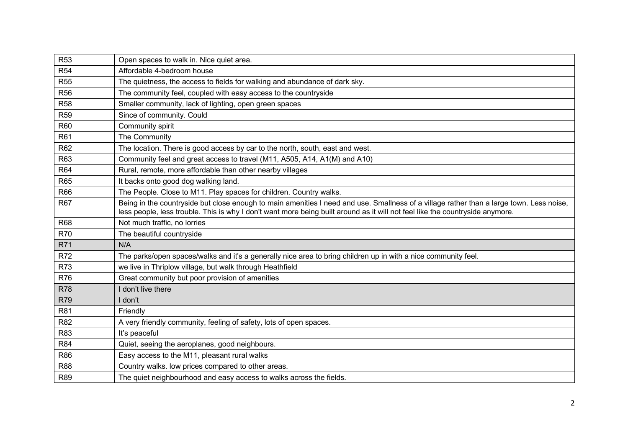| <b>R53</b>      | Open spaces to walk in. Nice quiet area.                                                                                                                                                                                                                                  |
|-----------------|---------------------------------------------------------------------------------------------------------------------------------------------------------------------------------------------------------------------------------------------------------------------------|
| <b>R54</b>      | Affordable 4-bedroom house                                                                                                                                                                                                                                                |
| <b>R55</b>      | The quietness, the access to fields for walking and abundance of dark sky.                                                                                                                                                                                                |
| <b>R56</b>      | The community feel, coupled with easy access to the countryside                                                                                                                                                                                                           |
| <b>R58</b>      | Smaller community, lack of lighting, open green spaces                                                                                                                                                                                                                    |
| <b>R59</b>      | Since of community. Could                                                                                                                                                                                                                                                 |
| <b>R60</b>      | Community spirit                                                                                                                                                                                                                                                          |
| R61             | The Community                                                                                                                                                                                                                                                             |
| R <sub>62</sub> | The location. There is good access by car to the north, south, east and west.                                                                                                                                                                                             |
| R63             | Community feel and great access to travel (M11, A505, A14, A1(M) and A10)                                                                                                                                                                                                 |
| <b>R64</b>      | Rural, remote, more affordable than other nearby villages                                                                                                                                                                                                                 |
| <b>R65</b>      | It backs onto good dog walking land.                                                                                                                                                                                                                                      |
| R66             | The People. Close to M11. Play spaces for children. Country walks.                                                                                                                                                                                                        |
| <b>R67</b>      | Being in the countryside but close enough to main amenities I need and use. Smallness of a village rather than a large town. Less noise,<br>less people, less trouble. This is why I don't want more being built around as it will not feel like the countryside anymore. |
| <b>R68</b>      | Not much traffic, no lorries                                                                                                                                                                                                                                              |
| <b>R70</b>      | The beautiful countryside                                                                                                                                                                                                                                                 |
| R71             | N/A                                                                                                                                                                                                                                                                       |
| R72             | The parks/open spaces/walks and it's a generally nice area to bring children up in with a nice community feel.                                                                                                                                                            |
| <b>R73</b>      | we live in Thriplow village, but walk through Heathfield                                                                                                                                                                                                                  |
| <b>R76</b>      | Great community but poor provision of amenities                                                                                                                                                                                                                           |
| <b>R78</b>      | I don't live there                                                                                                                                                                                                                                                        |
| R79             | I don't                                                                                                                                                                                                                                                                   |
| R81             | Friendly                                                                                                                                                                                                                                                                  |
| R82             | A very friendly community, feeling of safety, lots of open spaces.                                                                                                                                                                                                        |
| R83             | It's peaceful                                                                                                                                                                                                                                                             |
| R84             | Quiet, seeing the aeroplanes, good neighbours.                                                                                                                                                                                                                            |
| R86             | Easy access to the M11, pleasant rural walks                                                                                                                                                                                                                              |
| <b>R88</b>      | Country walks. low prices compared to other areas.                                                                                                                                                                                                                        |
| R89             | The quiet neighbourhood and easy access to walks across the fields.                                                                                                                                                                                                       |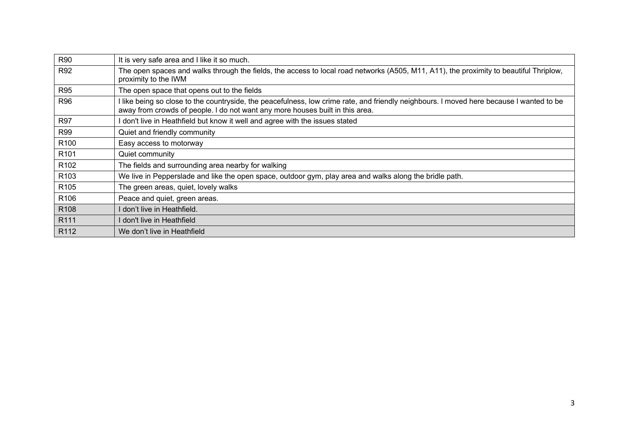| <b>R90</b>       | It is very safe area and I like it so much.                                                                                                                                                                               |
|------------------|---------------------------------------------------------------------------------------------------------------------------------------------------------------------------------------------------------------------------|
| R92              | The open spaces and walks through the fields, the access to local road networks (A505, M11, A11), the proximity to beautiful Thriplow,<br>proximity to the IWM                                                            |
| <b>R95</b>       | The open space that opens out to the fields                                                                                                                                                                               |
| <b>R96</b>       | I like being so close to the countryside, the peacefulness, low crime rate, and friendly neighbours. I moved here because I wanted to be<br>away from crowds of people. I do not want any more houses built in this area. |
| <b>R97</b>       | I don't live in Heathfield but know it well and agree with the issues stated                                                                                                                                              |
| <b>R99</b>       | Quiet and friendly community                                                                                                                                                                                              |
| R <sub>100</sub> | Easy access to motorway                                                                                                                                                                                                   |
| R <sub>101</sub> | Quiet community                                                                                                                                                                                                           |
| R <sub>102</sub> | The fields and surrounding area nearby for walking                                                                                                                                                                        |
| R <sub>103</sub> | We live in Pepperslade and like the open space, outdoor gym, play area and walks along the bridle path.                                                                                                                   |
| R <sub>105</sub> | The green areas, quiet, lovely walks                                                                                                                                                                                      |
| R <sub>106</sub> | Peace and quiet, green areas.                                                                                                                                                                                             |
| R <sub>108</sub> | l don't live in Heathfield.                                                                                                                                                                                               |
| R <sub>111</sub> | I don't live in Heathfield                                                                                                                                                                                                |
| R <sub>112</sub> | We don't live in Heathfield                                                                                                                                                                                               |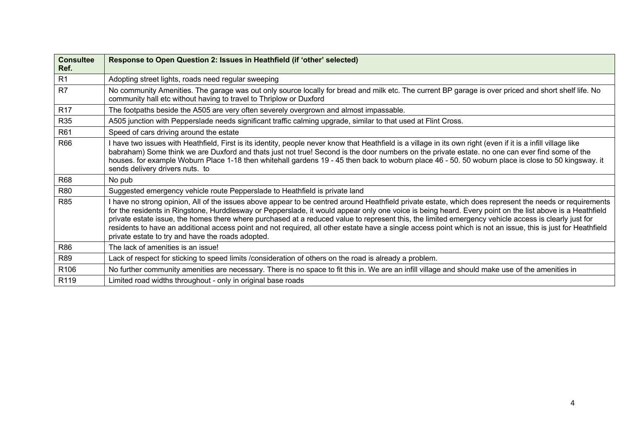| <b>Consultee</b><br>Ref. | Response to Open Question 2: Issues in Heathfield (if 'other' selected)                                                                                                                                                                                                                                                                                                                                                                                                                                                                                                                                                                                                                           |
|--------------------------|---------------------------------------------------------------------------------------------------------------------------------------------------------------------------------------------------------------------------------------------------------------------------------------------------------------------------------------------------------------------------------------------------------------------------------------------------------------------------------------------------------------------------------------------------------------------------------------------------------------------------------------------------------------------------------------------------|
| R <sub>1</sub>           | Adopting street lights, roads need regular sweeping                                                                                                                                                                                                                                                                                                                                                                                                                                                                                                                                                                                                                                               |
| R <sub>7</sub>           | No community Amenities. The garage was out only source locally for bread and milk etc. The current BP garage is over priced and short shelf life. No<br>community hall etc without having to travel to Thriplow or Duxford                                                                                                                                                                                                                                                                                                                                                                                                                                                                        |
| R <sub>17</sub>          | The footpaths beside the A505 are very often severely overgrown and almost impassable.                                                                                                                                                                                                                                                                                                                                                                                                                                                                                                                                                                                                            |
| <b>R35</b>               | A505 junction with Pepperslade needs significant traffic calming upgrade, similar to that used at Flint Cross.                                                                                                                                                                                                                                                                                                                                                                                                                                                                                                                                                                                    |
| R <sub>61</sub>          | Speed of cars driving around the estate                                                                                                                                                                                                                                                                                                                                                                                                                                                                                                                                                                                                                                                           |
| R66                      | I have two issues with Heathfield, First is its identity, people never know that Heathfield is a village in its own right (even if it is a infill village like<br>babraham) Some think we are Duxford and thats just not true! Second is the door numbers on the private estate. no one can ever find some of the<br>houses. for example Woburn Place 1-18 then whitehall gardens 19 - 45 then back to woburn place 46 - 50. 50 woburn place is close to 50 kingsway. it<br>sends delivery drivers nuts. to                                                                                                                                                                                       |
| <b>R68</b>               | No pub                                                                                                                                                                                                                                                                                                                                                                                                                                                                                                                                                                                                                                                                                            |
| <b>R80</b>               | Suggested emergency vehicle route Pepperslade to Heathfield is private land                                                                                                                                                                                                                                                                                                                                                                                                                                                                                                                                                                                                                       |
| <b>R85</b>               | I have no strong opinion, All of the issues above appear to be centred around Heathfield private estate, which does represent the needs or requirements<br>for the residents in Ringstone, Hurddlesway or Pepperslade, it would appear only one voice is being heard. Every point on the list above is a Heathfield<br>private estate issue, the homes there where purchased at a reduced value to represent this, the limited emergency vehicle access is clearly just for<br>residents to have an additional access point and not required, all other estate have a single access point which is not an issue, this is just for Heathfield<br>private estate to try and have the roads adopted. |
| R86                      | The lack of amenities is an issue!                                                                                                                                                                                                                                                                                                                                                                                                                                                                                                                                                                                                                                                                |
| <b>R89</b>               | Lack of respect for sticking to speed limits /consideration of others on the road is already a problem.                                                                                                                                                                                                                                                                                                                                                                                                                                                                                                                                                                                           |
| R <sub>106</sub>         | No further community amenities are necessary. There is no space to fit this in. We are an infill village and should make use of the amenities in                                                                                                                                                                                                                                                                                                                                                                                                                                                                                                                                                  |
| R119                     | Limited road widths throughout - only in original base roads                                                                                                                                                                                                                                                                                                                                                                                                                                                                                                                                                                                                                                      |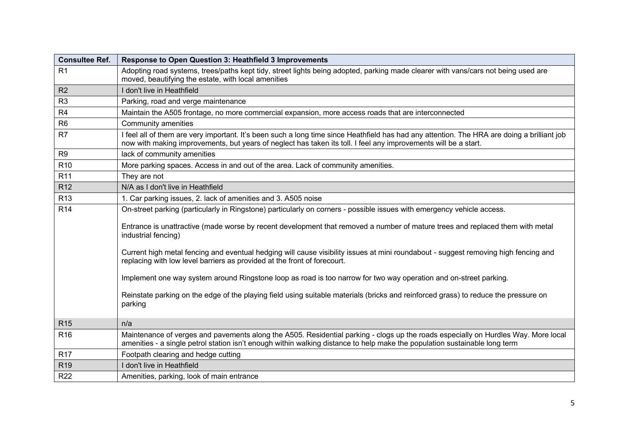| <b>Consultee Ref.</b> | <b>Response to Open Question 3: Heathfield 3 Improvements</b>                                                                                                                                                                                                                                                                                                                                                                                                                                                                                                                                                                                                                                                                                                            |
|-----------------------|--------------------------------------------------------------------------------------------------------------------------------------------------------------------------------------------------------------------------------------------------------------------------------------------------------------------------------------------------------------------------------------------------------------------------------------------------------------------------------------------------------------------------------------------------------------------------------------------------------------------------------------------------------------------------------------------------------------------------------------------------------------------------|
| R <sub>1</sub>        | Adopting road systems, trees/paths kept tidy, street lights being adopted, parking made clearer with vans/cars not being used are<br>moved, beautifying the estate, with local amenities                                                                                                                                                                                                                                                                                                                                                                                                                                                                                                                                                                                 |
| R <sub>2</sub>        | I don't live in Heathfield                                                                                                                                                                                                                                                                                                                                                                                                                                                                                                                                                                                                                                                                                                                                               |
| R <sub>3</sub>        | Parking, road and verge maintenance                                                                                                                                                                                                                                                                                                                                                                                                                                                                                                                                                                                                                                                                                                                                      |
| R <sub>4</sub>        | Maintain the A505 frontage, no more commercial expansion, more access roads that are interconnected                                                                                                                                                                                                                                                                                                                                                                                                                                                                                                                                                                                                                                                                      |
| R <sub>6</sub>        | Community amenities                                                                                                                                                                                                                                                                                                                                                                                                                                                                                                                                                                                                                                                                                                                                                      |
| R <sub>7</sub>        | I feel all of them are very important. It's been such a long time since Heathfield has had any attention. The HRA are doing a brilliant job<br>now with making improvements, but years of neglect has taken its toll. I feel any improvements will be a start.                                                                                                                                                                                                                                                                                                                                                                                                                                                                                                           |
| R <sub>9</sub>        | lack of community amenities                                                                                                                                                                                                                                                                                                                                                                                                                                                                                                                                                                                                                                                                                                                                              |
| R <sub>10</sub>       | More parking spaces. Access in and out of the area. Lack of community amenities.                                                                                                                                                                                                                                                                                                                                                                                                                                                                                                                                                                                                                                                                                         |
| R <sub>11</sub>       | They are not                                                                                                                                                                                                                                                                                                                                                                                                                                                                                                                                                                                                                                                                                                                                                             |
| R <sub>12</sub>       | N/A as I don't live in Heathfield                                                                                                                                                                                                                                                                                                                                                                                                                                                                                                                                                                                                                                                                                                                                        |
| R <sub>13</sub>       | 1. Car parking issues, 2. lack of amenities and 3. A505 noise                                                                                                                                                                                                                                                                                                                                                                                                                                                                                                                                                                                                                                                                                                            |
| R <sub>14</sub>       | On-street parking (particularly in Ringstone) particularly on corners - possible issues with emergency vehicle access.<br>Entrance is unattractive (made worse by recent development that removed a number of mature trees and replaced them with metal<br>industrial fencing)<br>Current high metal fencing and eventual hedging will cause visibility issues at mini roundabout - suggest removing high fencing and<br>replacing with low level barriers as provided at the front of forecourt.<br>Implement one way system around Ringstone loop as road is too narrow for two way operation and on-street parking.<br>Reinstate parking on the edge of the playing field using suitable materials (bricks and reinforced grass) to reduce the pressure on<br>parking |
| R <sub>15</sub>       | n/a                                                                                                                                                                                                                                                                                                                                                                                                                                                                                                                                                                                                                                                                                                                                                                      |
| R <sub>16</sub>       | Maintenance of verges and pavements along the A505. Residential parking - clogs up the roads especially on Hurdles Way. More local<br>amenities - a single petrol station isn't enough within walking distance to help make the population sustainable long term                                                                                                                                                                                                                                                                                                                                                                                                                                                                                                         |
| R <sub>17</sub>       | Footpath clearing and hedge cutting                                                                                                                                                                                                                                                                                                                                                                                                                                                                                                                                                                                                                                                                                                                                      |
| R <sub>19</sub>       | I don't live in Heathfield                                                                                                                                                                                                                                                                                                                                                                                                                                                                                                                                                                                                                                                                                                                                               |
| R <sub>22</sub>       | Amenities, parking, look of main entrance                                                                                                                                                                                                                                                                                                                                                                                                                                                                                                                                                                                                                                                                                                                                |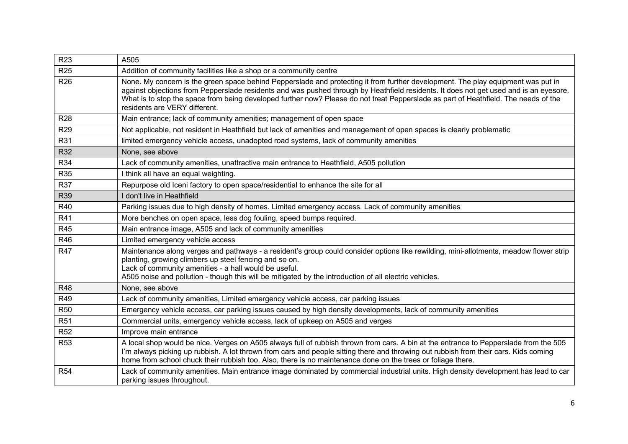| <b>R23</b>      | A505                                                                                                                                                                                                                                                                                                                                                                                                                                              |
|-----------------|---------------------------------------------------------------------------------------------------------------------------------------------------------------------------------------------------------------------------------------------------------------------------------------------------------------------------------------------------------------------------------------------------------------------------------------------------|
| <b>R25</b>      | Addition of community facilities like a shop or a community centre                                                                                                                                                                                                                                                                                                                                                                                |
| R <sub>26</sub> | None. My concern is the green space behind Pepperslade and protecting it from further development. The play equipment was put in<br>against objections from Pepperslade residents and was pushed through by Heathfield residents. It does not get used and is an eyesore.<br>What is to stop the space from being developed further now? Please do not treat Pepperslade as part of Heathfield. The needs of the<br>residents are VERY different. |
| <b>R28</b>      | Main entrance; lack of community amenities; management of open space                                                                                                                                                                                                                                                                                                                                                                              |
| <b>R29</b>      | Not applicable, not resident in Heathfield but lack of amenities and management of open spaces is clearly problematic                                                                                                                                                                                                                                                                                                                             |
| R31             | limited emergency vehicle access, unadopted road systems, lack of community amenities                                                                                                                                                                                                                                                                                                                                                             |
| <b>R32</b>      | None, see above                                                                                                                                                                                                                                                                                                                                                                                                                                   |
| <b>R34</b>      | Lack of community amenities, unattractive main entrance to Heathfield, A505 pollution                                                                                                                                                                                                                                                                                                                                                             |
| <b>R35</b>      | I think all have an equal weighting.                                                                                                                                                                                                                                                                                                                                                                                                              |
| <b>R37</b>      | Repurpose old Iceni factory to open space/residential to enhance the site for all                                                                                                                                                                                                                                                                                                                                                                 |
| <b>R39</b>      | I don't live in Heathfield                                                                                                                                                                                                                                                                                                                                                                                                                        |
| <b>R40</b>      | Parking issues due to high density of homes. Limited emergency access. Lack of community amenities                                                                                                                                                                                                                                                                                                                                                |
| R41             | More benches on open space, less dog fouling, speed bumps required.                                                                                                                                                                                                                                                                                                                                                                               |
| <b>R45</b>      | Main entrance image, A505 and lack of community amenities                                                                                                                                                                                                                                                                                                                                                                                         |
| R46             | Limited emergency vehicle access                                                                                                                                                                                                                                                                                                                                                                                                                  |
| <b>R47</b>      | Maintenance along verges and pathways - a resident's group could consider options like rewilding, mini-allotments, meadow flower strip<br>planting, growing climbers up steel fencing and so on.<br>Lack of community amenities - a hall would be useful.<br>A505 noise and pollution - though this will be mitigated by the introduction of all electric vehicles.                                                                               |
| <b>R48</b>      | None, see above                                                                                                                                                                                                                                                                                                                                                                                                                                   |
| <b>R49</b>      | Lack of community amenities, Limited emergency vehicle access, car parking issues                                                                                                                                                                                                                                                                                                                                                                 |
| <b>R50</b>      | Emergency vehicle access, car parking issues caused by high density developments, lack of community amenities                                                                                                                                                                                                                                                                                                                                     |
| R <sub>51</sub> | Commercial units, emergency vehicle access, lack of upkeep on A505 and verges                                                                                                                                                                                                                                                                                                                                                                     |
| <b>R52</b>      | Improve main entrance                                                                                                                                                                                                                                                                                                                                                                                                                             |
| <b>R53</b>      | A local shop would be nice. Verges on A505 always full of rubbish thrown from cars. A bin at the entrance to Pepperslade from the 505<br>I'm always picking up rubbish. A lot thrown from cars and people sitting there and throwing out rubbish from their cars. Kids coming<br>home from school chuck their rubbish too. Also, there is no maintenance done on the trees or foliage there.                                                      |
| <b>R54</b>      | Lack of community amenities. Main entrance image dominated by commercial industrial units. High density development has lead to car<br>parking issues throughout.                                                                                                                                                                                                                                                                                 |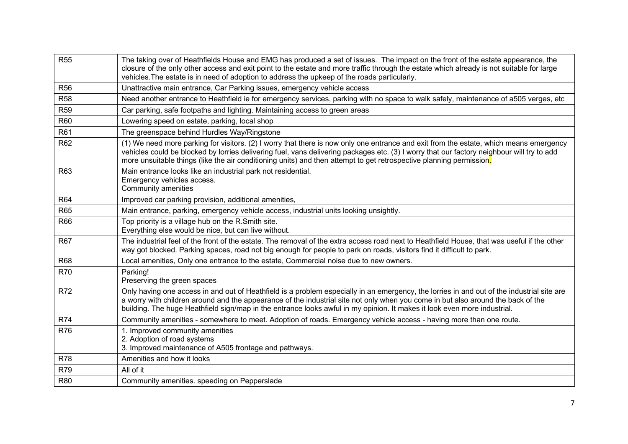| <b>R55</b> | The taking over of Heathfields House and EMG has produced a set of issues. The impact on the front of the estate appearance, the<br>closure of the only other access and exit point to the estate and more traffic through the estate which already is not suitable for large<br>vehicles. The estate is in need of adoption to address the upkeep of the roads particularly.                               |
|------------|-------------------------------------------------------------------------------------------------------------------------------------------------------------------------------------------------------------------------------------------------------------------------------------------------------------------------------------------------------------------------------------------------------------|
| <b>R56</b> | Unattractive main entrance, Car Parking issues, emergency vehicle access                                                                                                                                                                                                                                                                                                                                    |
| <b>R58</b> | Need another entrance to Heathfield ie for emergency services, parking with no space to walk safely, maintenance of a505 verges, etc                                                                                                                                                                                                                                                                        |
| <b>R59</b> | Car parking, safe footpaths and lighting. Maintaining access to green areas                                                                                                                                                                                                                                                                                                                                 |
| R60        | Lowering speed on estate, parking, local shop                                                                                                                                                                                                                                                                                                                                                               |
| R61        | The greenspace behind Hurdles Way/Ringstone                                                                                                                                                                                                                                                                                                                                                                 |
| R62        | (1) We need more parking for visitors. (2) I worry that there is now only one entrance and exit from the estate, which means emergency<br>vehicles could be blocked by lorries delivering fuel, vans delivering packages etc. (3) I worry that our factory neighbour will try to add<br>more unsuitable things (like the air conditioning units) and then attempt to get retrospective planning permission. |
| R63        | Main entrance looks like an industrial park not residential.<br>Emergency vehicles access.<br>Community amenities                                                                                                                                                                                                                                                                                           |
| <b>R64</b> | Improved car parking provision, additional amenities,                                                                                                                                                                                                                                                                                                                                                       |
| R65        | Main entrance, parking, emergency vehicle access, industrial units looking unsightly.                                                                                                                                                                                                                                                                                                                       |
| <b>R66</b> | Top priority is a village hub on the R.Smith site.<br>Everything else would be nice, but can live without.                                                                                                                                                                                                                                                                                                  |
| R67        | The industrial feel of the front of the estate. The removal of the extra access road next to Heathfield House, that was useful if the other<br>way got blocked. Parking spaces, road not big enough for people to park on roads, visitors find it difficult to park.                                                                                                                                        |
| <b>R68</b> | Local amenities, Only one entrance to the estate, Commercial noise due to new owners.                                                                                                                                                                                                                                                                                                                       |
| R70        | Parking!<br>Preserving the green spaces                                                                                                                                                                                                                                                                                                                                                                     |
| R72        | Only having one access in and out of Heathfield is a problem especially in an emergency, the lorries in and out of the industrial site are<br>a worry with children around and the appearance of the industrial site not only when you come in but also around the back of the<br>building. The huge Heathfield sign/map in the entrance looks awful in my opinion. It makes it look even more industrial.  |
| R74        | Community amenities - somewhere to meet. Adoption of roads. Emergency vehicle access - having more than one route.                                                                                                                                                                                                                                                                                          |
| <b>R76</b> | 1. Improved community amenities<br>2. Adoption of road systems<br>3. Improved maintenance of A505 frontage and pathways.                                                                                                                                                                                                                                                                                    |
| <b>R78</b> | Amenities and how it looks                                                                                                                                                                                                                                                                                                                                                                                  |
| R79        | All of it                                                                                                                                                                                                                                                                                                                                                                                                   |
| R80        | Community amenities. speeding on Pepperslade                                                                                                                                                                                                                                                                                                                                                                |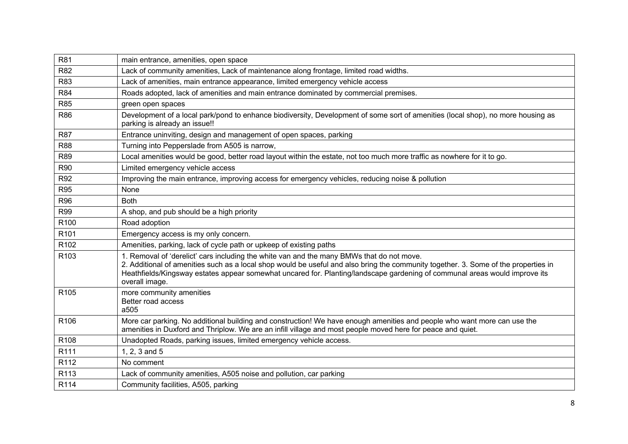| R81              | main entrance, amenities, open space                                                                                                                                                                                                                                                                                                                                             |
|------------------|----------------------------------------------------------------------------------------------------------------------------------------------------------------------------------------------------------------------------------------------------------------------------------------------------------------------------------------------------------------------------------|
| R82              | Lack of community amenities, Lack of maintenance along frontage, limited road widths.                                                                                                                                                                                                                                                                                            |
| R83              | Lack of amenities, main entrance appearance, limited emergency vehicle access                                                                                                                                                                                                                                                                                                    |
| R84              | Roads adopted, lack of amenities and main entrance dominated by commercial premises.                                                                                                                                                                                                                                                                                             |
| R85              | green open spaces                                                                                                                                                                                                                                                                                                                                                                |
| R86              | Development of a local park/pond to enhance biodiversity, Development of some sort of amenities (local shop), no more housing as<br>parking is already an issue!!                                                                                                                                                                                                                |
| <b>R87</b>       | Entrance uninviting, design and management of open spaces, parking                                                                                                                                                                                                                                                                                                               |
| R88              | Turning into Pepperslade from A505 is narrow,                                                                                                                                                                                                                                                                                                                                    |
| R89              | Local amenities would be good, better road layout within the estate, not too much more traffic as nowhere for it to go.                                                                                                                                                                                                                                                          |
| <b>R90</b>       | Limited emergency vehicle access                                                                                                                                                                                                                                                                                                                                                 |
| R92              | Improving the main entrance, improving access for emergency vehicles, reducing noise & pollution                                                                                                                                                                                                                                                                                 |
| R95              | None                                                                                                                                                                                                                                                                                                                                                                             |
| R96              | <b>Both</b>                                                                                                                                                                                                                                                                                                                                                                      |
| <b>R99</b>       | A shop, and pub should be a high priority                                                                                                                                                                                                                                                                                                                                        |
| R <sub>100</sub> | Road adoption                                                                                                                                                                                                                                                                                                                                                                    |
| R <sub>101</sub> | Emergency access is my only concern.                                                                                                                                                                                                                                                                                                                                             |
| R <sub>102</sub> | Amenities, parking, lack of cycle path or upkeep of existing paths                                                                                                                                                                                                                                                                                                               |
| R103             | 1. Removal of 'derelict' cars including the white van and the many BMWs that do not move.<br>2. Additional of amenities such as a local shop would be useful and also bring the community together. 3. Some of the properties in<br>Heathfields/Kingsway estates appear somewhat uncared for. Planting/landscape gardening of communal areas would improve its<br>overall image. |
| R <sub>105</sub> | more community amenities<br>Better road access<br>a505                                                                                                                                                                                                                                                                                                                           |
| R <sub>106</sub> | More car parking. No additional building and construction! We have enough amenities and people who want more can use the<br>amenities in Duxford and Thriplow. We are an infill village and most people moved here for peace and quiet.                                                                                                                                          |
| R108             | Unadopted Roads, parking issues, limited emergency vehicle access.                                                                                                                                                                                                                                                                                                               |
| R111             | 1, 2, 3 and 5                                                                                                                                                                                                                                                                                                                                                                    |
| R112             | No comment                                                                                                                                                                                                                                                                                                                                                                       |
| R113             | Lack of community amenities, A505 noise and pollution, car parking                                                                                                                                                                                                                                                                                                               |
| R114             | Community facilities, A505, parking                                                                                                                                                                                                                                                                                                                                              |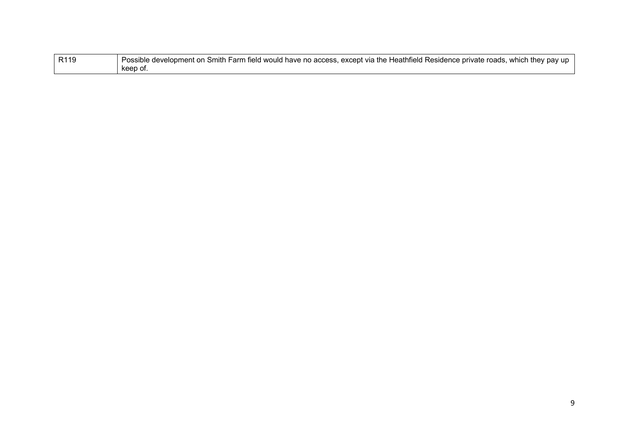| R119 | Possible development on Smith Farm field would have no access, except via the Heathfield Residence private roads, which they pay up |
|------|-------------------------------------------------------------------------------------------------------------------------------------|
|      | keep of.                                                                                                                            |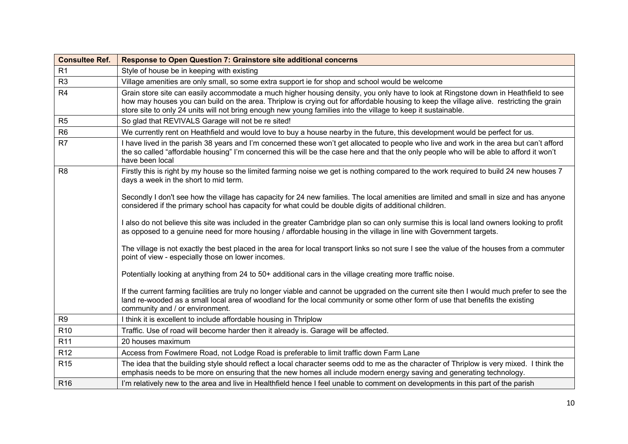| <b>Consultee Ref.</b> | <b>Response to Open Question 7: Grainstore site additional concerns</b>                                                                                                                                                                                                                                                                                                                          |
|-----------------------|--------------------------------------------------------------------------------------------------------------------------------------------------------------------------------------------------------------------------------------------------------------------------------------------------------------------------------------------------------------------------------------------------|
| R <sub>1</sub>        | Style of house be in keeping with existing                                                                                                                                                                                                                                                                                                                                                       |
| R <sub>3</sub>        | Village amenities are only small, so some extra support ie for shop and school would be welcome                                                                                                                                                                                                                                                                                                  |
| R <sub>4</sub>        | Grain store site can easily accommodate a much higher housing density, you only have to look at Ringstone down in Heathfield to see<br>how may houses you can build on the area. Thriplow is crying out for affordable housing to keep the village alive. restricting the grain<br>store site to only 24 units will not bring enough new young families into the village to keep it sustainable. |
| R <sub>5</sub>        | So glad that REVIVALS Garage will not be re sited!                                                                                                                                                                                                                                                                                                                                               |
| R <sub>6</sub>        | We currently rent on Heathfield and would love to buy a house nearby in the future, this development would be perfect for us.                                                                                                                                                                                                                                                                    |
| R7                    | I have lived in the parish 38 years and I'm concerned these won't get allocated to people who live and work in the area but can't afford<br>the so called "affordable housing" I'm concerned this will be the case here and that the only people who will be able to afford it won't<br>have been local                                                                                          |
| R <sub>8</sub>        | Firstly this is right by my house so the limited farming noise we get is nothing compared to the work required to build 24 new houses 7<br>days a week in the short to mid term.                                                                                                                                                                                                                 |
|                       | Secondly I don't see how the village has capacity for 24 new families. The local amenities are limited and small in size and has anyone<br>considered if the primary school has capacity for what could be double digits of additional children.                                                                                                                                                 |
|                       | I also do not believe this site was included in the greater Cambridge plan so can only surmise this is local land owners looking to profit<br>as opposed to a genuine need for more housing / affordable housing in the village in line with Government targets.                                                                                                                                 |
|                       | The village is not exactly the best placed in the area for local transport links so not sure I see the value of the houses from a commuter<br>point of view - especially those on lower incomes.                                                                                                                                                                                                 |
|                       | Potentially looking at anything from 24 to 50+ additional cars in the village creating more traffic noise.                                                                                                                                                                                                                                                                                       |
|                       | If the current farming facilities are truly no longer viable and cannot be upgraded on the current site then I would much prefer to see the<br>land re-wooded as a small local area of woodland for the local community or some other form of use that benefits the existing<br>community and / or environment.                                                                                  |
| R <sub>9</sub>        | I think it is excellent to include affordable housing in Thriplow                                                                                                                                                                                                                                                                                                                                |
| R <sub>10</sub>       | Traffic. Use of road will become harder then it already is. Garage will be affected.                                                                                                                                                                                                                                                                                                             |
| R <sub>11</sub>       | 20 houses maximum                                                                                                                                                                                                                                                                                                                                                                                |
| R <sub>12</sub>       | Access from Fowlmere Road, not Lodge Road is preferable to limit traffic down Farm Lane                                                                                                                                                                                                                                                                                                          |
| R <sub>15</sub>       | The idea that the building style should reflect a local character seems odd to me as the character of Thriplow is very mixed. I think the<br>emphasis needs to be more on ensuring that the new homes all include modern energy saving and generating technology.                                                                                                                                |
| R <sub>16</sub>       | I'm relatively new to the area and live in Healthfield hence I feel unable to comment on developments in this part of the parish                                                                                                                                                                                                                                                                 |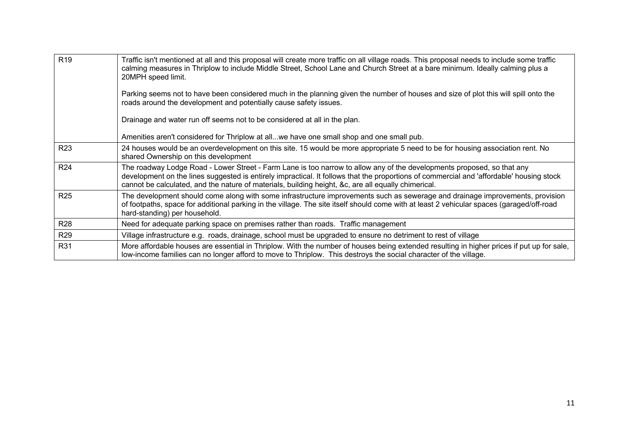| R <sub>19</sub> | Traffic isn't mentioned at all and this proposal will create more traffic on all village roads. This proposal needs to include some traffic<br>calming measures in Thriplow to include Middle Street, School Lane and Church Street at a bare minimum. Ideally calming plus a<br>20MPH speed limit.<br>Parking seems not to have been considered much in the planning given the number of houses and size of plot this will spill onto the |
|-----------------|--------------------------------------------------------------------------------------------------------------------------------------------------------------------------------------------------------------------------------------------------------------------------------------------------------------------------------------------------------------------------------------------------------------------------------------------|
|                 | roads around the development and potentially cause safety issues.                                                                                                                                                                                                                                                                                                                                                                          |
|                 | Drainage and water run off seems not to be considered at all in the plan.                                                                                                                                                                                                                                                                                                                                                                  |
|                 | Amenities aren't considered for Thriplow at allwe have one small shop and one small pub.                                                                                                                                                                                                                                                                                                                                                   |
| R <sub>23</sub> | 24 houses would be an overdevelopment on this site. 15 would be more appropriate 5 need to be for housing association rent. No<br>shared Ownership on this development                                                                                                                                                                                                                                                                     |
| R <sub>24</sub> | The roadway Lodge Road - Lower Street - Farm Lane is too narrow to allow any of the developments proposed, so that any<br>development on the lines suggested is entirely impractical. It follows that the proportions of commercial and 'affordable' housing stock<br>cannot be calculated, and the nature of materials, building height, &c, are all equally chimerical.                                                                  |
| R <sub>25</sub> | The development should come along with some infrastructure improvements such as sewerage and drainage improvements, provision<br>of footpaths, space for additional parking in the village. The site itself should come with at least 2 vehicular spaces (garaged/off-road<br>hard-standing) per household.                                                                                                                                |
| R <sub>28</sub> | Need for adequate parking space on premises rather than roads. Traffic management                                                                                                                                                                                                                                                                                                                                                          |
| R <sub>29</sub> | Village infrastructure e.g. roads, drainage, school must be upgraded to ensure no detriment to rest of village                                                                                                                                                                                                                                                                                                                             |
| R31             | More affordable houses are essential in Thriplow. With the number of houses being extended resulting in higher prices if put up for sale,<br>low-income families can no longer afford to move to Thriplow. This destroys the social character of the village.                                                                                                                                                                              |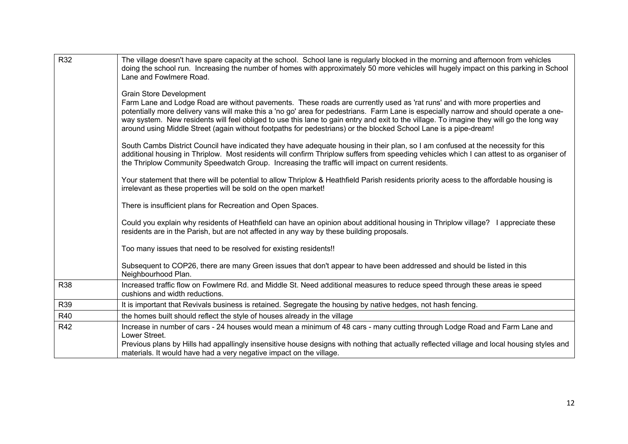| <b>R32</b> | The village doesn't have spare capacity at the school. School lane is regularly blocked in the morning and afternoon from vehicles<br>doing the school run. Increasing the number of homes with approximately 50 more vehicles will hugely impact on this parking in School<br>Lane and Fowlmere Road.                                                                                                                                                                                                                                                                |
|------------|-----------------------------------------------------------------------------------------------------------------------------------------------------------------------------------------------------------------------------------------------------------------------------------------------------------------------------------------------------------------------------------------------------------------------------------------------------------------------------------------------------------------------------------------------------------------------|
|            | <b>Grain Store Development</b><br>Farm Lane and Lodge Road are without pavements. These roads are currently used as 'rat runs' and with more properties and<br>potentially more delivery vans will make this a 'no go' area for pedestrians. Farm Lane is especially narrow and should operate a one-<br>way system. New residents will feel obliged to use this lane to gain entry and exit to the village. To imagine they will go the long way<br>around using Middle Street (again without footpaths for pedestrians) or the blocked School Lane is a pipe-dream! |
|            | South Cambs District Council have indicated they have adequate housing in their plan, so I am confused at the necessity for this<br>additional housing in Thriplow. Most residents will confirm Thriplow suffers from speeding vehicles which I can attest to as organiser of<br>the Thriplow Community Speedwatch Group. Increasing the traffic will impact on current residents.                                                                                                                                                                                    |
|            | Your statement that there will be potential to allow Thriplow & Heathfield Parish residents priority acess to the affordable housing is<br>irrelevant as these properties will be sold on the open market!                                                                                                                                                                                                                                                                                                                                                            |
|            | There is insufficient plans for Recreation and Open Spaces.                                                                                                                                                                                                                                                                                                                                                                                                                                                                                                           |
|            | Could you explain why residents of Heathfield can have an opinion about additional housing in Thriplow village? I appreciate these<br>residents are in the Parish, but are not affected in any way by these building proposals.                                                                                                                                                                                                                                                                                                                                       |
|            | Too many issues that need to be resolved for existing residents!!                                                                                                                                                                                                                                                                                                                                                                                                                                                                                                     |
|            | Subsequent to COP26, there are many Green issues that don't appear to have been addressed and should be listed in this<br>Neighbourhood Plan.                                                                                                                                                                                                                                                                                                                                                                                                                         |
| R38        | Increased traffic flow on Fowlmere Rd. and Middle St. Need additional measures to reduce speed through these areas ie speed<br>cushions and width reductions.                                                                                                                                                                                                                                                                                                                                                                                                         |
| R39        | It is important that Revivals business is retained. Segregate the housing by native hedges, not hash fencing.                                                                                                                                                                                                                                                                                                                                                                                                                                                         |
| R40        | the homes built should reflect the style of houses already in the village                                                                                                                                                                                                                                                                                                                                                                                                                                                                                             |
| R42        | Increase in number of cars - 24 houses would mean a minimum of 48 cars - many cutting through Lodge Road and Farm Lane and<br>Lower Street.<br>Previous plans by Hills had appallingly insensitive house designs with nothing that actually reflected village and local housing styles and                                                                                                                                                                                                                                                                            |
|            | materials. It would have had a very negative impact on the village.                                                                                                                                                                                                                                                                                                                                                                                                                                                                                                   |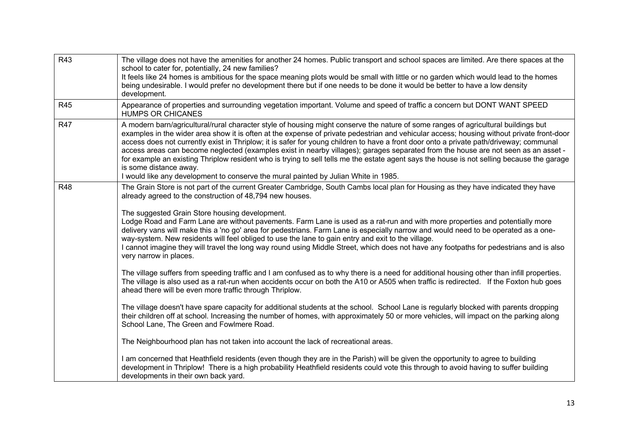| R43        | The village does not have the amenities for another 24 homes. Public transport and school spaces are limited. Are there spaces at the<br>school to cater for, potentially, 24 new families?<br>It feels like 24 homes is ambitious for the space meaning plots would be small with little or no garden which would lead to the homes<br>being undesirable. I would prefer no development there but if one needs to be done it would be better to have a low density<br>development.                                                                                                                                                                                                                                                                                                                                                                                                                                                                                                                                                                                                                                                                                                                                                                                                                                                                                                                                                                                                                                                                                                                                                                                                                                                                                                                                                                                                          |
|------------|----------------------------------------------------------------------------------------------------------------------------------------------------------------------------------------------------------------------------------------------------------------------------------------------------------------------------------------------------------------------------------------------------------------------------------------------------------------------------------------------------------------------------------------------------------------------------------------------------------------------------------------------------------------------------------------------------------------------------------------------------------------------------------------------------------------------------------------------------------------------------------------------------------------------------------------------------------------------------------------------------------------------------------------------------------------------------------------------------------------------------------------------------------------------------------------------------------------------------------------------------------------------------------------------------------------------------------------------------------------------------------------------------------------------------------------------------------------------------------------------------------------------------------------------------------------------------------------------------------------------------------------------------------------------------------------------------------------------------------------------------------------------------------------------------------------------------------------------------------------------------------------------|
| R45        | Appearance of properties and surrounding vegetation important. Volume and speed of traffic a concern but DONT WANT SPEED<br><b>HUMPS OR CHICANES</b>                                                                                                                                                                                                                                                                                                                                                                                                                                                                                                                                                                                                                                                                                                                                                                                                                                                                                                                                                                                                                                                                                                                                                                                                                                                                                                                                                                                                                                                                                                                                                                                                                                                                                                                                         |
| R47        | A modern barn/agricultural/rural character style of housing might conserve the nature of some ranges of agricultural buildings but<br>examples in the wider area show it is often at the expense of private pedestrian and vehicular access; housing without private front-door<br>access does not currently exist in Thriplow; it is safer for young children to have a front door onto a private path/driveway; communal<br>access areas can become neglected (examples exist in nearby villages); garages separated from the house are not seen as an asset -<br>for example an existing Thriplow resident who is trying to sell tells me the estate agent says the house is not selling because the garage<br>is some distance away.<br>I would like any development to conserve the mural painted by Julian White in 1985.                                                                                                                                                                                                                                                                                                                                                                                                                                                                                                                                                                                                                                                                                                                                                                                                                                                                                                                                                                                                                                                              |
| <b>R48</b> | The Grain Store is not part of the current Greater Cambridge, South Cambs local plan for Housing as they have indicated they have<br>already agreed to the construction of 48,794 new houses.<br>The suggested Grain Store housing development.<br>Lodge Road and Farm Lane are without pavements. Farm Lane is used as a rat-run and with more properties and potentially more<br>delivery vans will make this a 'no go' area for pedestrians. Farm Lane is especially narrow and would need to be operated as a one-<br>way-system. New residents will feel obliged to use the lane to gain entry and exit to the village.<br>I cannot imagine they will travel the long way round using Middle Street, which does not have any footpaths for pedestrians and is also<br>very narrow in places.<br>The village suffers from speeding traffic and I am confused as to why there is a need for additional housing other than infill properties.<br>The village is also used as a rat-run when accidents occur on both the A10 or A505 when traffic is redirected. If the Foxton hub goes<br>ahead there will be even more traffic through Thriplow.<br>The village doesn't have spare capacity for additional students at the school. School Lane is regularly blocked with parents dropping<br>their children off at school. Increasing the number of homes, with approximately 50 or more vehicles, will impact on the parking along<br>School Lane, The Green and Fowlmere Road.<br>The Neighbourhood plan has not taken into account the lack of recreational areas.<br>I am concerned that Heathfield residents (even though they are in the Parish) will be given the opportunity to agree to building<br>development in Thriplow! There is a high probability Heathfield residents could vote this through to avoid having to suffer building<br>developments in their own back yard. |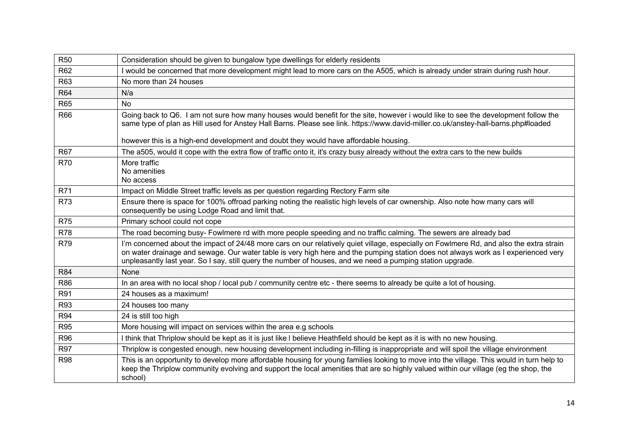| <b>R50</b> | Consideration should be given to bungalow type dwellings for elderly residents                                                                                                                                                                                                                                                                                                              |
|------------|---------------------------------------------------------------------------------------------------------------------------------------------------------------------------------------------------------------------------------------------------------------------------------------------------------------------------------------------------------------------------------------------|
| R62        | I would be concerned that more development might lead to more cars on the A505, which is already under strain during rush hour.                                                                                                                                                                                                                                                             |
| R63        | No more than 24 houses                                                                                                                                                                                                                                                                                                                                                                      |
| <b>R64</b> | N/a                                                                                                                                                                                                                                                                                                                                                                                         |
| R65        | <b>No</b>                                                                                                                                                                                                                                                                                                                                                                                   |
| R66        | Going back to Q6. I am not sure how many houses would benefit for the site, however i would like to see the development follow the<br>same type of plan as Hill used for Anstey Hall Barns. Please see link. https://www.david-miller.co.uk/anstey-hall-barns.php#loaded                                                                                                                    |
|            | however this is a high-end development and doubt they would have affordable housing.                                                                                                                                                                                                                                                                                                        |
| <b>R67</b> | The a505, would it cope with the extra flow of traffic onto it, it's crazy busy already without the extra cars to the new builds                                                                                                                                                                                                                                                            |
| R70        | More traffic<br>No amenities<br>No access                                                                                                                                                                                                                                                                                                                                                   |
| R71        | Impact on Middle Street traffic levels as per question regarding Rectory Farm site                                                                                                                                                                                                                                                                                                          |
| <b>R73</b> | Ensure there is space for 100% offroad parking noting the realistic high levels of car ownership. Also note how many cars will<br>consequently be using Lodge Road and limit that.                                                                                                                                                                                                          |
| <b>R75</b> | Primary school could not cope                                                                                                                                                                                                                                                                                                                                                               |
| <b>R78</b> | The road becoming busy- Fowlmere rd with more people speeding and no traffic calming. The sewers are already bad                                                                                                                                                                                                                                                                            |
| <b>R79</b> | I'm concerned about the impact of 24/48 more cars on our relatively quiet village, especially on Fowlmere Rd, and also the extra strain<br>on water drainage and sewage. Our water table is very high here and the pumping station does not always work as I experienced very<br>unpleasantly last year. So I say, still query the number of houses, and we need a pumping station upgrade. |
| <b>R84</b> | None                                                                                                                                                                                                                                                                                                                                                                                        |
| R86        | In an area with no local shop / local pub / community centre etc - there seems to already be quite a lot of housing.                                                                                                                                                                                                                                                                        |
| R91        | 24 houses as a maximum!                                                                                                                                                                                                                                                                                                                                                                     |
| R93        | 24 houses too many                                                                                                                                                                                                                                                                                                                                                                          |
| R94        | 24 is still too high                                                                                                                                                                                                                                                                                                                                                                        |
| <b>R95</b> | More housing will impact on services within the area e.g schools                                                                                                                                                                                                                                                                                                                            |
| R96        | I think that Thriplow should be kept as it is just like I believe Heathfield should be kept as it is with no new housing.                                                                                                                                                                                                                                                                   |
| <b>R97</b> | Thriplow is congested enough, new housing development including in-filling is inappropriate and will spoil the village environment                                                                                                                                                                                                                                                          |
| <b>R98</b> | This is an opportunity to develop more affordable housing for young families looking to move into the village. This would in turn help to<br>keep the Thriplow community evolving and support the local amenities that are so highly valued within our village (eg the shop, the<br>school)                                                                                                 |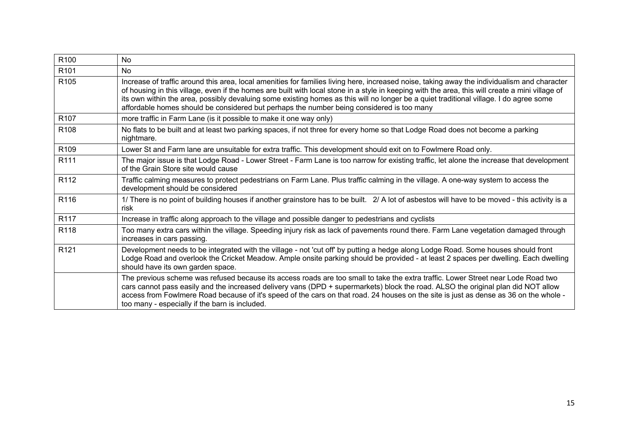| R <sub>100</sub> | <b>No</b>                                                                                                                                                                                                                                                                                                                                                                                                                                                                                                                               |
|------------------|-----------------------------------------------------------------------------------------------------------------------------------------------------------------------------------------------------------------------------------------------------------------------------------------------------------------------------------------------------------------------------------------------------------------------------------------------------------------------------------------------------------------------------------------|
| R <sub>101</sub> | <b>No</b>                                                                                                                                                                                                                                                                                                                                                                                                                                                                                                                               |
| R <sub>105</sub> | Increase of traffic around this area, local amenities for families living here, increased noise, taking away the individualism and character<br>of housing in this village, even if the homes are built with local stone in a style in keeping with the area, this will create a mini village of<br>its own within the area, possibly devaluing some existing homes as this will no longer be a quiet traditional village. I do agree some<br>affordable homes should be considered but perhaps the number being considered is too many |
| R <sub>107</sub> | more traffic in Farm Lane (is it possible to make it one way only)                                                                                                                                                                                                                                                                                                                                                                                                                                                                      |
| R <sub>108</sub> | No flats to be built and at least two parking spaces, if not three for every home so that Lodge Road does not become a parking<br>nightmare.                                                                                                                                                                                                                                                                                                                                                                                            |
| R <sub>109</sub> | Lower St and Farm lane are unsuitable for extra traffic. This development should exit on to Fowlmere Road only.                                                                                                                                                                                                                                                                                                                                                                                                                         |
| R <sub>111</sub> | The major issue is that Lodge Road - Lower Street - Farm Lane is too narrow for existing traffic, let alone the increase that development<br>of the Grain Store site would cause                                                                                                                                                                                                                                                                                                                                                        |
| R <sub>112</sub> | Traffic calming measures to protect pedestrians on Farm Lane. Plus traffic calming in the village. A one-way system to access the<br>development should be considered                                                                                                                                                                                                                                                                                                                                                                   |
| R <sub>116</sub> | 1/ There is no point of building houses if another grainstore has to be built. 2/ A lot of asbestos will have to be moved - this activity is a<br>risk                                                                                                                                                                                                                                                                                                                                                                                  |
| R <sub>117</sub> | Increase in traffic along approach to the village and possible danger to pedestrians and cyclists                                                                                                                                                                                                                                                                                                                                                                                                                                       |
| R <sub>118</sub> | Too many extra cars within the village. Speeding injury risk as lack of pavements round there. Farm Lane vegetation damaged through<br>increases in cars passing.                                                                                                                                                                                                                                                                                                                                                                       |
| R <sub>121</sub> | Development needs to be integrated with the village - not 'cut off' by putting a hedge along Lodge Road. Some houses should front<br>Lodge Road and overlook the Cricket Meadow. Ample onsite parking should be provided - at least 2 spaces per dwelling. Each dwelling<br>should have its own garden space.                                                                                                                                                                                                                           |
|                  | The previous scheme was refused because its access roads are too small to take the extra traffic. Lower Street near Lode Road two<br>cars cannot pass easily and the increased delivery vans (DPD + supermarkets) block the road. ALSO the original plan did NOT allow<br>access from Fowlmere Road because of it's speed of the cars on that road. 24 houses on the site is just as dense as 36 on the whole -<br>too many - especially if the barn is included.                                                                       |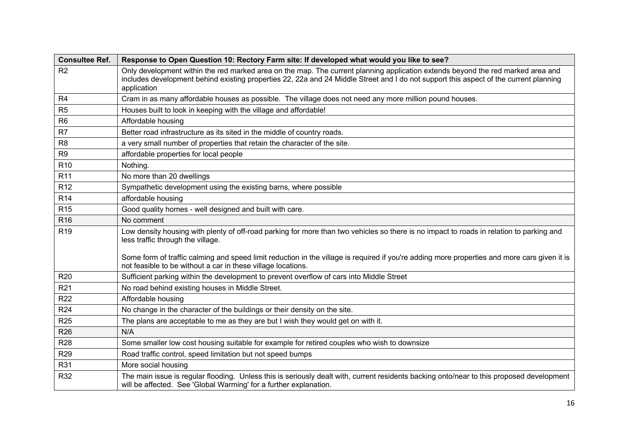| <b>Consultee Ref.</b> | Response to Open Question 10: Rectory Farm site: If developed what would you like to see?                                                                                                                                                                                               |
|-----------------------|-----------------------------------------------------------------------------------------------------------------------------------------------------------------------------------------------------------------------------------------------------------------------------------------|
| R <sub>2</sub>        | Only development within the red marked area on the map. The current planning application extends beyond the red marked area and<br>includes development behind existing properties 22, 22a and 24 Middle Street and I do not support this aspect of the current planning<br>application |
| R <sub>4</sub>        | Cram in as many affordable houses as possible. The village does not need any more million pound houses.                                                                                                                                                                                 |
| R <sub>5</sub>        | Houses built to look in keeping with the village and affordable!                                                                                                                                                                                                                        |
| R <sub>6</sub>        | Affordable housing                                                                                                                                                                                                                                                                      |
| R7                    | Better road infrastructure as its sited in the middle of country roads.                                                                                                                                                                                                                 |
| R <sub>8</sub>        | a very small number of properties that retain the character of the site.                                                                                                                                                                                                                |
| R <sub>9</sub>        | affordable properties for local people                                                                                                                                                                                                                                                  |
| R <sub>10</sub>       | Nothing.                                                                                                                                                                                                                                                                                |
| R <sub>11</sub>       | No more than 20 dwellings                                                                                                                                                                                                                                                               |
| R <sub>12</sub>       | Sympathetic development using the existing barns, where possible                                                                                                                                                                                                                        |
| R <sub>14</sub>       | affordable housing                                                                                                                                                                                                                                                                      |
| R <sub>15</sub>       | Good quality homes - well designed and built with care.                                                                                                                                                                                                                                 |
| R <sub>16</sub>       | No comment                                                                                                                                                                                                                                                                              |
| R <sub>19</sub>       | Low density housing with plenty of off-road parking for more than two vehicles so there is no impact to roads in relation to parking and<br>less traffic through the village.                                                                                                           |
|                       | Some form of traffic calming and speed limit reduction in the village is required if you're adding more properties and more cars given it is<br>not feasible to be without a car in these village locations.                                                                            |
| R <sub>20</sub>       | Sufficient parking within the development to prevent overflow of cars into Middle Street                                                                                                                                                                                                |
| R <sub>21</sub>       | No road behind existing houses in Middle Street.                                                                                                                                                                                                                                        |
| R <sub>22</sub>       | Affordable housing                                                                                                                                                                                                                                                                      |
| R <sub>24</sub>       | No change in the character of the buildings or their density on the site.                                                                                                                                                                                                               |
| R <sub>25</sub>       | The plans are acceptable to me as they are but I wish they would get on with it.                                                                                                                                                                                                        |
| R <sub>26</sub>       | N/A                                                                                                                                                                                                                                                                                     |
| R <sub>28</sub>       | Some smaller low cost housing suitable for example for retired couples who wish to downsize                                                                                                                                                                                             |
| R <sub>29</sub>       | Road traffic control, speed limitation but not speed bumps                                                                                                                                                                                                                              |
| R31                   | More social housing                                                                                                                                                                                                                                                                     |
| R32                   | The main issue is regular flooding. Unless this is seriously dealt with, current residents backing onto/near to this proposed development<br>will be affected. See 'Global Warming' for a further explanation.                                                                          |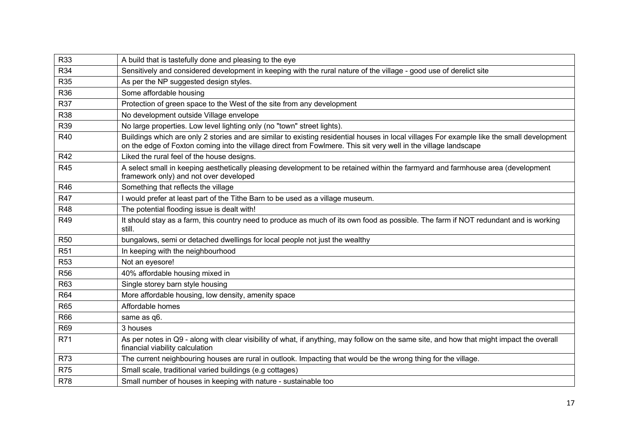| R33             | A build that is tastefully done and pleasing to the eye                                                                                                                                                                                                       |
|-----------------|---------------------------------------------------------------------------------------------------------------------------------------------------------------------------------------------------------------------------------------------------------------|
| R34             | Sensitively and considered development in keeping with the rural nature of the village - good use of derelict site                                                                                                                                            |
| R35             | As per the NP suggested design styles.                                                                                                                                                                                                                        |
| R36             | Some affordable housing                                                                                                                                                                                                                                       |
| R37             | Protection of green space to the West of the site from any development                                                                                                                                                                                        |
| R38             | No development outside Village envelope                                                                                                                                                                                                                       |
| R39             | No large properties. Low level lighting only (no "town" street lights).                                                                                                                                                                                       |
| R40             | Buildings which are only 2 stories and are similar to existing residential houses in local villages For example like the small development<br>on the edge of Foxton coming into the village direct from Fowlmere. This sit very well in the village landscape |
| R42             | Liked the rural feel of the house designs.                                                                                                                                                                                                                    |
| <b>R45</b>      | A select small in keeping aesthetically pleasing development to be retained within the farmyard and farmhouse area (development<br>framework only) and not over developed                                                                                     |
| R46             | Something that reflects the village                                                                                                                                                                                                                           |
| R47             | I would prefer at least part of the Tithe Barn to be used as a village museum.                                                                                                                                                                                |
| R48             | The potential flooding issue is dealt with!                                                                                                                                                                                                                   |
| R49             | It should stay as a farm, this country need to produce as much of its own food as possible. The farm if NOT redundant and is working<br>still.                                                                                                                |
| <b>R50</b>      | bungalows, semi or detached dwellings for local people not just the wealthy                                                                                                                                                                                   |
| R <sub>51</sub> | In keeping with the neighbourhood                                                                                                                                                                                                                             |
| R <sub>53</sub> | Not an eyesore!                                                                                                                                                                                                                                               |
| <b>R56</b>      | 40% affordable housing mixed in                                                                                                                                                                                                                               |
| R63             | Single storey barn style housing                                                                                                                                                                                                                              |
| R64             | More affordable housing, low density, amenity space                                                                                                                                                                                                           |
| R65             | Affordable homes                                                                                                                                                                                                                                              |
| R66             | same as q6.                                                                                                                                                                                                                                                   |
| R69             | 3 houses                                                                                                                                                                                                                                                      |
| R71             | As per notes in Q9 - along with clear visibility of what, if anything, may follow on the same site, and how that might impact the overall<br>financial viability calculation                                                                                  |
| <b>R73</b>      | The current neighbouring houses are rural in outlook. Impacting that would be the wrong thing for the village.                                                                                                                                                |
| R75             | Small scale, traditional varied buildings (e.g cottages)                                                                                                                                                                                                      |
| <b>R78</b>      | Small number of houses in keeping with nature - sustainable too                                                                                                                                                                                               |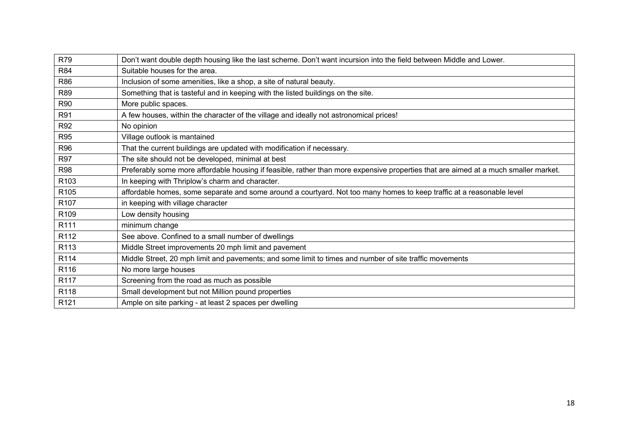| R79              | Don't want double depth housing like the last scheme. Don't want incursion into the field between Middle and Lower.                 |
|------------------|-------------------------------------------------------------------------------------------------------------------------------------|
| R84              | Suitable houses for the area.                                                                                                       |
| R86              | Inclusion of some amenities, like a shop, a site of natural beauty.                                                                 |
| R89              | Something that is tasteful and in keeping with the listed buildings on the site.                                                    |
| R90              | More public spaces.                                                                                                                 |
| <b>R91</b>       | A few houses, within the character of the village and ideally not astronomical prices!                                              |
| R92              | No opinion                                                                                                                          |
| <b>R95</b>       | Village outlook is mantained                                                                                                        |
| R96              | That the current buildings are updated with modification if necessary.                                                              |
| R97              | The site should not be developed, minimal at best                                                                                   |
| <b>R98</b>       | Preferably some more affordable housing if feasible, rather than more expensive properties that are aimed at a much smaller market. |
| R <sub>103</sub> | In keeping with Thriplow's charm and character.                                                                                     |
| R <sub>105</sub> | affordable homes, some separate and some around a courtyard. Not too many homes to keep traffic at a reasonable level               |
| R <sub>107</sub> | in keeping with village character                                                                                                   |
| R <sub>109</sub> | Low density housing                                                                                                                 |
| R111             | minimum change                                                                                                                      |
| R112             | See above. Confined to a small number of dwellings                                                                                  |
| R113             | Middle Street improvements 20 mph limit and pavement                                                                                |
| R114             | Middle Street, 20 mph limit and pavements; and some limit to times and number of site traffic movements                             |
| R116             | No more large houses                                                                                                                |
| R <sub>117</sub> | Screening from the road as much as possible                                                                                         |
| R118             | Small development but not Million pound properties                                                                                  |
| R <sub>121</sub> | Ample on site parking - at least 2 spaces per dwelling                                                                              |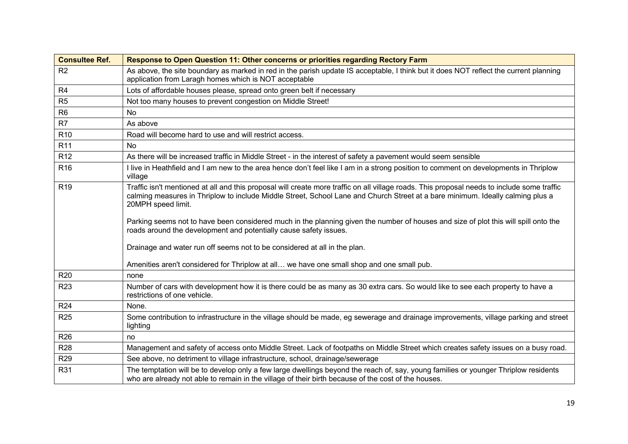| <b>Consultee Ref.</b> | <b>Response to Open Question 11: Other concerns or priorities regarding Rectory Farm</b>                                                                                                                                                                                                                                                                                                                                                   |
|-----------------------|--------------------------------------------------------------------------------------------------------------------------------------------------------------------------------------------------------------------------------------------------------------------------------------------------------------------------------------------------------------------------------------------------------------------------------------------|
| R <sub>2</sub>        | As above, the site boundary as marked in red in the parish update IS acceptable, I think but it does NOT reflect the current planning<br>application from Laragh homes which is NOT acceptable                                                                                                                                                                                                                                             |
| R <sub>4</sub>        | Lots of affordable houses please, spread onto green belt if necessary                                                                                                                                                                                                                                                                                                                                                                      |
| R <sub>5</sub>        | Not too many houses to prevent congestion on Middle Street!                                                                                                                                                                                                                                                                                                                                                                                |
| R <sub>6</sub>        | No                                                                                                                                                                                                                                                                                                                                                                                                                                         |
| R7                    | As above                                                                                                                                                                                                                                                                                                                                                                                                                                   |
| R <sub>10</sub>       | Road will become hard to use and will restrict access.                                                                                                                                                                                                                                                                                                                                                                                     |
| R <sub>11</sub>       | <b>No</b>                                                                                                                                                                                                                                                                                                                                                                                                                                  |
| R <sub>12</sub>       | As there will be increased traffic in Middle Street - in the interest of safety a pavement would seem sensible                                                                                                                                                                                                                                                                                                                             |
| R <sub>16</sub>       | I live in Heathfield and I am new to the area hence don't feel like I am in a strong position to comment on developments in Thriplow<br>village                                                                                                                                                                                                                                                                                            |
| R <sub>19</sub>       | Traffic isn't mentioned at all and this proposal will create more traffic on all village roads. This proposal needs to include some traffic<br>calming measures in Thriplow to include Middle Street, School Lane and Church Street at a bare minimum. Ideally calming plus a<br>20MPH speed limit.<br>Parking seems not to have been considered much in the planning given the number of houses and size of plot this will spill onto the |
|                       | roads around the development and potentially cause safety issues.<br>Drainage and water run off seems not to be considered at all in the plan.<br>Amenities aren't considered for Thriplow at all we have one small shop and one small pub.                                                                                                                                                                                                |
| R <sub>20</sub>       | none                                                                                                                                                                                                                                                                                                                                                                                                                                       |
| R <sub>23</sub>       | Number of cars with development how it is there could be as many as 30 extra cars. So would like to see each property to have a<br>restrictions of one vehicle.                                                                                                                                                                                                                                                                            |
| R <sub>24</sub>       | None.                                                                                                                                                                                                                                                                                                                                                                                                                                      |
| R <sub>25</sub>       | Some contribution to infrastructure in the village should be made, eg sewerage and drainage improvements, village parking and street<br>lighting                                                                                                                                                                                                                                                                                           |
| R <sub>26</sub>       | no                                                                                                                                                                                                                                                                                                                                                                                                                                         |
| <b>R28</b>            | Management and safety of access onto Middle Street. Lack of footpaths on Middle Street which creates safety issues on a busy road.                                                                                                                                                                                                                                                                                                         |
| R <sub>29</sub>       | See above, no detriment to village infrastructure, school, drainage/sewerage                                                                                                                                                                                                                                                                                                                                                               |
| R31                   | The temptation will be to develop only a few large dwellings beyond the reach of, say, young families or younger Thriplow residents<br>who are already not able to remain in the village of their birth because of the cost of the houses.                                                                                                                                                                                                 |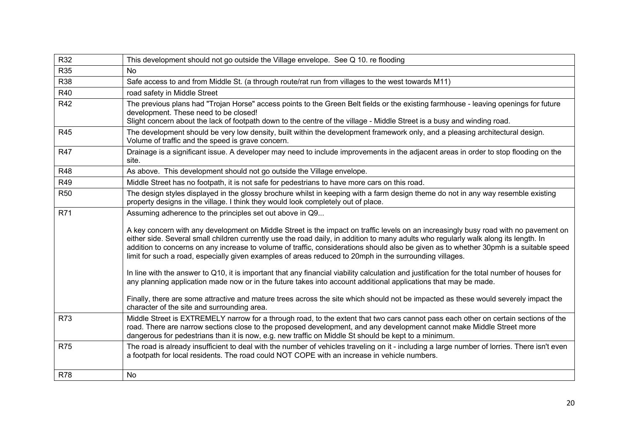| R32             | This development should not go outside the Village envelope. See Q 10. re flooding                                                                                                                                                                                                                                                                                                                                                                                                                                                                                                                                                                                                                                                                                                                                                                                                                                                                                                                                                                      |
|-----------------|---------------------------------------------------------------------------------------------------------------------------------------------------------------------------------------------------------------------------------------------------------------------------------------------------------------------------------------------------------------------------------------------------------------------------------------------------------------------------------------------------------------------------------------------------------------------------------------------------------------------------------------------------------------------------------------------------------------------------------------------------------------------------------------------------------------------------------------------------------------------------------------------------------------------------------------------------------------------------------------------------------------------------------------------------------|
| <b>R35</b>      | <b>No</b>                                                                                                                                                                                                                                                                                                                                                                                                                                                                                                                                                                                                                                                                                                                                                                                                                                                                                                                                                                                                                                               |
| <b>R38</b>      | Safe access to and from Middle St. (a through route/rat run from villages to the west towards M11)                                                                                                                                                                                                                                                                                                                                                                                                                                                                                                                                                                                                                                                                                                                                                                                                                                                                                                                                                      |
| R40             | road safety in Middle Street                                                                                                                                                                                                                                                                                                                                                                                                                                                                                                                                                                                                                                                                                                                                                                                                                                                                                                                                                                                                                            |
| R42             | The previous plans had "Trojan Horse" access points to the Green Belt fields or the existing farmhouse - leaving openings for future<br>development. These need to be closed!<br>Slight concern about the lack of footpath down to the centre of the village - Middle Street is a busy and winding road.                                                                                                                                                                                                                                                                                                                                                                                                                                                                                                                                                                                                                                                                                                                                                |
| <b>R45</b>      | The development should be very low density, built within the development framework only, and a pleasing architectural design.<br>Volume of traffic and the speed is grave concern.                                                                                                                                                                                                                                                                                                                                                                                                                                                                                                                                                                                                                                                                                                                                                                                                                                                                      |
| <b>R47</b>      | Drainage is a significant issue. A developer may need to include improvements in the adjacent areas in order to stop flooding on the<br>site.                                                                                                                                                                                                                                                                                                                                                                                                                                                                                                                                                                                                                                                                                                                                                                                                                                                                                                           |
| <b>R48</b>      | As above. This development should not go outside the Village envelope.                                                                                                                                                                                                                                                                                                                                                                                                                                                                                                                                                                                                                                                                                                                                                                                                                                                                                                                                                                                  |
| <b>R49</b>      | Middle Street has no footpath, it is not safe for pedestrians to have more cars on this road.                                                                                                                                                                                                                                                                                                                                                                                                                                                                                                                                                                                                                                                                                                                                                                                                                                                                                                                                                           |
| R <sub>50</sub> | The design styles displayed in the glossy brochure whilst in keeping with a farm design theme do not in any way resemble existing<br>property designs in the village. I think they would look completely out of place.                                                                                                                                                                                                                                                                                                                                                                                                                                                                                                                                                                                                                                                                                                                                                                                                                                  |
| R71             | Assuming adherence to the principles set out above in Q9<br>A key concern with any development on Middle Street is the impact on traffic levels on an increasingly busy road with no pavement on<br>either side. Several small children currently use the road daily, in addition to many adults who regularly walk along its length. In<br>addition to concerns on any increase to volume of traffic, considerations should also be given as to whether 30pmh is a suitable speed<br>limit for such a road, especially given examples of areas reduced to 20mph in the surrounding villages.<br>In line with the answer to Q10, it is important that any financial viability calculation and justification for the total number of houses for<br>any planning application made now or in the future takes into account additional applications that may be made.<br>Finally, there are some attractive and mature trees across the site which should not be impacted as these would severely impact the<br>character of the site and surrounding area. |
| <b>R73</b>      | Middle Street is EXTREMELY narrow for a through road, to the extent that two cars cannot pass each other on certain sections of the<br>road. There are narrow sections close to the proposed development, and any development cannot make Middle Street more<br>dangerous for pedestrians than it is now, e.g. new traffic on Middle St should be kept to a minimum.                                                                                                                                                                                                                                                                                                                                                                                                                                                                                                                                                                                                                                                                                    |
| <b>R75</b>      | The road is already insufficient to deal with the number of vehicles traveling on it - including a large number of lorries. There isn't even<br>a footpath for local residents. The road could NOT COPE with an increase in vehicle numbers.                                                                                                                                                                                                                                                                                                                                                                                                                                                                                                                                                                                                                                                                                                                                                                                                            |
| <b>R78</b>      | <b>No</b>                                                                                                                                                                                                                                                                                                                                                                                                                                                                                                                                                                                                                                                                                                                                                                                                                                                                                                                                                                                                                                               |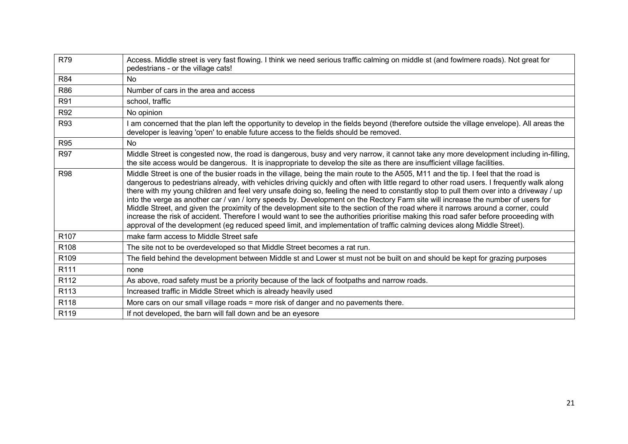| R79              | Access. Middle street is very fast flowing. I think we need serious traffic calming on middle st (and fowlmere roads). Not great for<br>pedestrians - or the village cats!                                                                                                                                                                                                                                                                                                                                                                                                                                                                                                                                                                                                                                                                                                                                                                                                |
|------------------|---------------------------------------------------------------------------------------------------------------------------------------------------------------------------------------------------------------------------------------------------------------------------------------------------------------------------------------------------------------------------------------------------------------------------------------------------------------------------------------------------------------------------------------------------------------------------------------------------------------------------------------------------------------------------------------------------------------------------------------------------------------------------------------------------------------------------------------------------------------------------------------------------------------------------------------------------------------------------|
| <b>R84</b>       | <b>No</b>                                                                                                                                                                                                                                                                                                                                                                                                                                                                                                                                                                                                                                                                                                                                                                                                                                                                                                                                                                 |
| R86              | Number of cars in the area and access                                                                                                                                                                                                                                                                                                                                                                                                                                                                                                                                                                                                                                                                                                                                                                                                                                                                                                                                     |
| R91              | school, traffic                                                                                                                                                                                                                                                                                                                                                                                                                                                                                                                                                                                                                                                                                                                                                                                                                                                                                                                                                           |
| R92              | No opinion                                                                                                                                                                                                                                                                                                                                                                                                                                                                                                                                                                                                                                                                                                                                                                                                                                                                                                                                                                |
| R93              | am concerned that the plan left the opportunity to develop in the fields beyond (therefore outside the village envelope). All areas the<br>developer is leaving 'open' to enable future access to the fields should be removed.                                                                                                                                                                                                                                                                                                                                                                                                                                                                                                                                                                                                                                                                                                                                           |
| R95              | <b>No</b>                                                                                                                                                                                                                                                                                                                                                                                                                                                                                                                                                                                                                                                                                                                                                                                                                                                                                                                                                                 |
| R97              | Middle Street is congested now, the road is dangerous, busy and very narrow, it cannot take any more development including in-filling,<br>the site access would be dangerous. It is inappropriate to develop the site as there are insufficient village facilities.                                                                                                                                                                                                                                                                                                                                                                                                                                                                                                                                                                                                                                                                                                       |
| <b>R98</b>       | Middle Street is one of the busier roads in the village, being the main route to the A505, M11 and the tip. I feel that the road is<br>dangerous to pedestrians already, with vehicles driving quickly and often with little regard to other road users. I frequently walk along<br>there with my young children and feel very unsafe doing so, feeling the need to constantly stop to pull them over into a driveway / up<br>into the verge as another car / van / lorry speeds by. Development on the Rectory Farm site will increase the number of users for<br>Middle Street, and given the proximity of the development site to the section of the road where it narrows around a corner, could<br>increase the risk of accident. Therefore I would want to see the authorities prioritise making this road safer before proceeding with<br>approval of the development (eg reduced speed limit, and implementation of traffic calming devices along Middle Street). |
| R <sub>107</sub> | make farm access to Middle Street safe                                                                                                                                                                                                                                                                                                                                                                                                                                                                                                                                                                                                                                                                                                                                                                                                                                                                                                                                    |
| R108             | The site not to be overdeveloped so that Middle Street becomes a rat run.                                                                                                                                                                                                                                                                                                                                                                                                                                                                                                                                                                                                                                                                                                                                                                                                                                                                                                 |
| R109             | The field behind the development between Middle st and Lower st must not be built on and should be kept for grazing purposes                                                                                                                                                                                                                                                                                                                                                                                                                                                                                                                                                                                                                                                                                                                                                                                                                                              |
| R111             | none                                                                                                                                                                                                                                                                                                                                                                                                                                                                                                                                                                                                                                                                                                                                                                                                                                                                                                                                                                      |
| R <sub>112</sub> | As above, road safety must be a priority because of the lack of footpaths and narrow roads.                                                                                                                                                                                                                                                                                                                                                                                                                                                                                                                                                                                                                                                                                                                                                                                                                                                                               |
| R113             | Increased traffic in Middle Street which is already heavily used                                                                                                                                                                                                                                                                                                                                                                                                                                                                                                                                                                                                                                                                                                                                                                                                                                                                                                          |
| R118             | More cars on our small village roads = more risk of danger and no pavements there.                                                                                                                                                                                                                                                                                                                                                                                                                                                                                                                                                                                                                                                                                                                                                                                                                                                                                        |
| R119             | If not developed, the barn will fall down and be an eyesore                                                                                                                                                                                                                                                                                                                                                                                                                                                                                                                                                                                                                                                                                                                                                                                                                                                                                                               |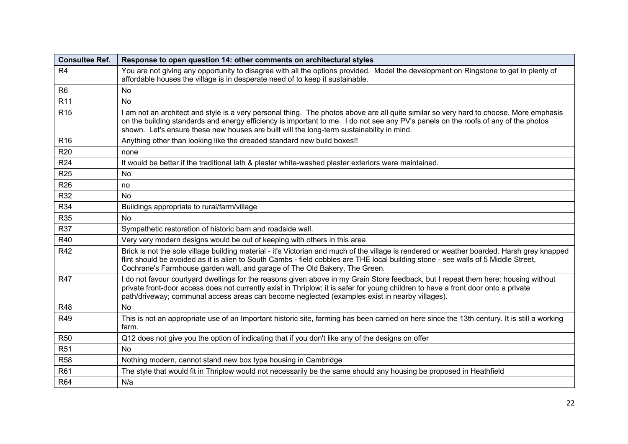| <b>Consultee Ref.</b> | Response to open question 14: other comments on architectural styles                                                                                                                                                                                                                                                                                                        |
|-----------------------|-----------------------------------------------------------------------------------------------------------------------------------------------------------------------------------------------------------------------------------------------------------------------------------------------------------------------------------------------------------------------------|
| R <sub>4</sub>        | You are not giving any opportunity to disagree with all the options provided. Model the development on Ringstone to get in plenty of<br>affordable houses the village is in desperate need of to keep it sustainable.                                                                                                                                                       |
| R <sub>6</sub>        | <b>No</b>                                                                                                                                                                                                                                                                                                                                                                   |
| R <sub>11</sub>       | No                                                                                                                                                                                                                                                                                                                                                                          |
| R <sub>15</sub>       | I am not an architect and style is a very personal thing. The photos above are all quite similar so very hard to choose. More emphasis<br>on the building standards and energy efficiency is important to me. I do not see any PV's panels on the roofs of any of the photos<br>shown. Let's ensure these new houses are built will the long-term sustainability in mind.   |
| R <sub>16</sub>       | Anything other than looking like the dreaded standard new build boxes!!                                                                                                                                                                                                                                                                                                     |
| R <sub>20</sub>       | none                                                                                                                                                                                                                                                                                                                                                                        |
| R <sub>24</sub>       | It would be better if the traditional lath & plaster white-washed plaster exteriors were maintained.                                                                                                                                                                                                                                                                        |
| <b>R25</b>            | No                                                                                                                                                                                                                                                                                                                                                                          |
| R <sub>26</sub>       | no                                                                                                                                                                                                                                                                                                                                                                          |
| R32                   | <b>No</b>                                                                                                                                                                                                                                                                                                                                                                   |
| R34                   | Buildings appropriate to rural/farm/village                                                                                                                                                                                                                                                                                                                                 |
| R35                   | No                                                                                                                                                                                                                                                                                                                                                                          |
| R37                   | Sympathetic restoration of historic barn and roadside wall.                                                                                                                                                                                                                                                                                                                 |
| R40                   | Very very modern designs would be out of keeping with others in this area                                                                                                                                                                                                                                                                                                   |
| R42                   | Brick is not the sole village building material - it's Victorian and much of the village is rendered or weather boarded. Harsh grey knapped<br>flint should be avoided as it is alien to South Cambs - field cobbles are THE local building stone - see walls of 5 Middle Street,<br>Cochrane's Farmhouse garden wall, and garage of The Old Bakery, The Green.             |
| R47                   | I do not favour courtyard dwellings for the reasons given above in my Grain Store feedback, but I repeat them here: housing without<br>private front-door access does not currently exist in Thriplow; it is safer for young children to have a front door onto a private<br>path/driveway; communal access areas can become neglected (examples exist in nearby villages). |
| <b>R48</b>            | <b>No</b>                                                                                                                                                                                                                                                                                                                                                                   |
| R49                   | This is not an appropriate use of an Important historic site, farming has been carried on here since the 13th century. It is still a working<br>farm.                                                                                                                                                                                                                       |
| <b>R50</b>            | Q12 does not give you the option of indicating that if you don't like any of the designs on offer                                                                                                                                                                                                                                                                           |
| R <sub>51</sub>       | <b>No</b>                                                                                                                                                                                                                                                                                                                                                                   |
| <b>R58</b>            | Nothing modern, cannot stand new box type housing in Cambridge                                                                                                                                                                                                                                                                                                              |
| R61                   | The style that would fit in Thriplow would not necessarily be the same should any housing be proposed in Heathfield                                                                                                                                                                                                                                                         |
| R64                   | N/a                                                                                                                                                                                                                                                                                                                                                                         |